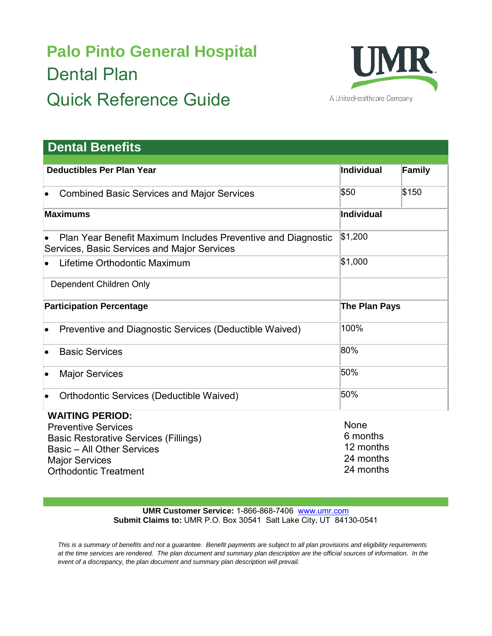## **Palo Pinto General Hospital** Dental Plan Quick Reference Guide



| <b>Dental Benefits</b>                                                                                      |                     |               |
|-------------------------------------------------------------------------------------------------------------|---------------------|---------------|
| <b>Deductibles Per Plan Year</b>                                                                            | Individual          | <b>Family</b> |
| <b>Combined Basic Services and Major Services</b><br>$\bullet$                                              | \$50                | \$150         |
| <b>Maximums</b>                                                                                             | Individual          |               |
| Plan Year Benefit Maximum Includes Preventive and Diagnostic<br>Services, Basic Services and Major Services | \$1,200             |               |
| Lifetime Orthodontic Maximum                                                                                | \$1,000             |               |
| Dependent Children Only                                                                                     |                     |               |
| <b>Participation Percentage</b>                                                                             | The Plan Pays       |               |
| Preventive and Diagnostic Services (Deductible Waived)<br>$\bullet$                                         | 100%                |               |
| <b>Basic Services</b><br>$\bullet$                                                                          | 80%                 |               |
| <b>Major Services</b><br>$\bullet$                                                                          | 50%                 |               |
| <b>Orthodontic Services (Deductible Waived)</b><br>$\bullet$                                                | 50%                 |               |
| <b>WAITING PERIOD:</b><br><b>Preventive Services</b>                                                        | None<br>$C$ meanths |               |

Basic Restorative Services (Fillings) Basic – All Other Services Major Services Orthodontic Treatment

6 months 12 months 24 months 24 months

**UMR Customer Service:** 1-866-868-7406 [www.umr.com](http://www.umr.com/) **Submit Claims to:** UMR P.O. Box 30541 Salt Lake City, UT 84130-0541

*This is a summary of benefits and not a guarantee. Benefit payments are subject to all plan provisions and eligibility requirements at the time services are rendered. The plan document and summary plan description are the official sources of information. In the event of a discrepancy, the plan document and summary plan description will prevail.*